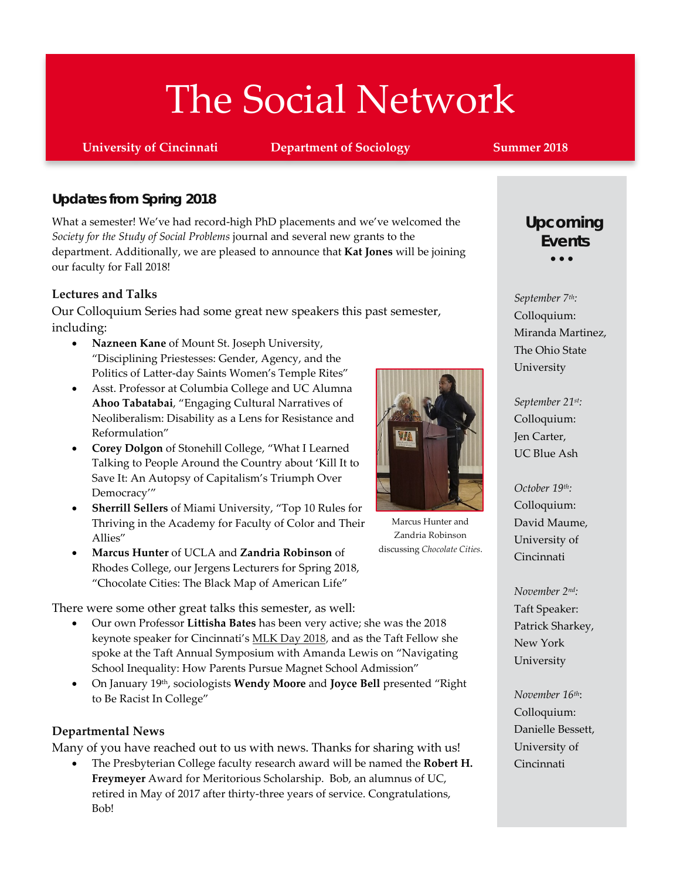# The Social Network

**University of Cincinnati Department of Sociology Summer 2018** 

### *Updates from Spring 2018*

What a semester! We've had record-high PhD placements and we've welcomed the *Society for the Study of Social Problems* journal and several new grants to the department. Additionally, we are pleased to announce that **Kat Jones** will be joining our faculty for Fall 2018!

#### **Lectures and Talks**

Our Colloquium Series had some great new speakers this past semester, including:

- **Nazneen Kane** of Mount St. Joseph University, "Disciplining Priestesses: Gender, Agency, and the Politics of Latter-day Saints Women's Temple Rites"
- Asst. Professor at Columbia College and UC Alumna **Ahoo Tabatabai**, "Engaging Cultural Narratives of Neoliberalism: Disability as a Lens for Resistance and Reformulation"
- **Corey Dolgon** of Stonehill College, "What I Learned Talking to People Around the Country about 'Kill It to Save It: An Autopsy of Capitalism's Triumph Over Democracy'"
- **Sherrill Sellers** of Miami University, "Top 10 Rules for Thriving in the Academy for Faculty of Color and Their Allies"
- **Marcus Hunter** of UCLA and **Zandria Robinson** of Rhodes College, our Jergens Lecturers for Spring 2018, "Chocolate Cities: The Black Map of American Life"

There were some other great talks this semester, as well:

- Our own Professor **Littisha Bates** has been very active; she was the 2018 keynote speaker for Cincinnati's [MLK Day 2018,](https://mlkcoalition.org/about/) and as the Taft Fellow she spoke at the Taft Annual Symposium with Amanda Lewis on "Navigating School Inequality: How Parents Pursue Magnet School Admission"
- **•** On January 19<sup>th</sup>, sociologists **Wendy Moore** and **Joyce Bell** presented "Right to Be Racist In College"

#### **Departmental News**

Many of you have reached out to us with news. Thanks for sharing with us!

• The Presbyterian College faculty research award will be named the **Robert H. Freymeyer** Award for Meritorious Scholarship. Bob, an alumnus of UC, retired in May of 2017 after thirty-three years of service. Congratulations, Bob!



Marcus Hunter and Zandria Robinson discussing *Chocolate Cities*.

# • • • *Upcoming Events*

*September 7th:*  Colloquium: Miranda Martinez, The Ohio State University

*September 21st:*  Colloquium: Jen Carter, UC Blue Ash

*October 19th:*  Colloquium: David Maume, University of Cincinnati

*November 2nd:*  Taft Speaker: Patrick Sharkey, New York University

*November 16th*: Colloquium: Danielle Bessett, University of Cincinnati